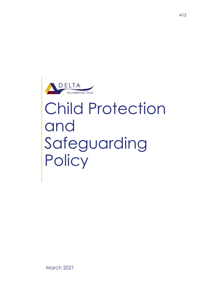

# Child Protection and Safeguarding **Policy**

A12

March 2021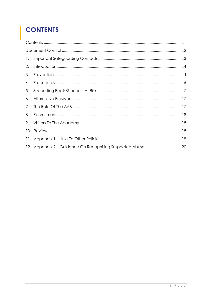# <span id="page-1-0"></span>**CONTENTS**

| 2. |  |  |  |  |
|----|--|--|--|--|
| 3. |  |  |  |  |
| 4. |  |  |  |  |
| 5. |  |  |  |  |
| 6. |  |  |  |  |
| 7. |  |  |  |  |
| 8. |  |  |  |  |
| 9. |  |  |  |  |
|    |  |  |  |  |
|    |  |  |  |  |
|    |  |  |  |  |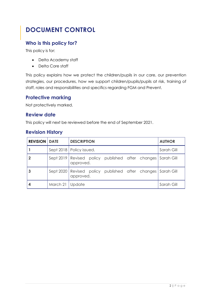# <span id="page-2-0"></span>**DOCUMENT CONTROL**

## **Who is this policy for?**

This policy is for:

- Delta Academy staff
- Delta Core staff

This policy explains how we protect the children/pupils in our care, our prevention strategies, our procedures, how we support children/pupils/pupils at risk, training of staff, roles and responsibilities and specifics regarding FGM and Prevent.

### **Protective marking**

Not protectively marked.

### **Review date**

This policy will next be reviewed before the end of September 2021.

### **Revision History**

| <b>REVISION   DATE</b> |                   | <b>DESCRIPTION</b>                                                       | <b>AUTHOR</b> |
|------------------------|-------------------|--------------------------------------------------------------------------|---------------|
|                        |                   | Sept 2018   Policy issued.                                               | Sarah Gill    |
|                        |                   | Sept 2019 Revised policy published after changes Sarah Gill<br>approved. |               |
|                        |                   | Sept 2020 Revised policy published after changes Sarah Gill<br>approved. |               |
|                        | March 21   Update |                                                                          | Sarah Gill    |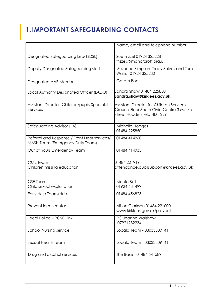# <span id="page-3-0"></span>**1.IMPORTANT SAFEGUARDING CONTACTS**

|                                                                                 | Name, email and telephone number                                                                                    |
|---------------------------------------------------------------------------------|---------------------------------------------------------------------------------------------------------------------|
| Designated Safeguarding Lead (DSL)                                              | Sue Frizzel 01924 325228<br>frizzels@manorcroft.org.uk                                                              |
| Deputy Designated Safeguarding staff                                            | Suzanne Simpson, Tracy Selves and Tom<br>Wallis 01924 325230                                                        |
| Designated AAB Member                                                           | Gareth Boot                                                                                                         |
| Local Authority Designated Officer (LADO)                                       | Sandra Shaw 01484 225850<br>Sandra.shaw@kirklees.gov.uk                                                             |
| Assistant Director, Children/pupils Specialist<br>Services                      | Assistant Director for Children Services<br>Ground Floor South Civic Centre 3 Market<br>Street Huddersfield HD1 2EY |
| Safeguarding Advisor (LA)                                                       | Michelle Hodges<br>01484 225850                                                                                     |
| Referral and Response / Front Door services/<br>MASH Team (Emergency Duty Team) | 01484 414960                                                                                                        |
| Out of hours Emergency Team                                                     | 01484 414933                                                                                                        |
| <b>CME</b> Team<br>Children missing education                                   | 01484 221919<br>attendance.pupilsupport@kirklees.gov.uk                                                             |
| <b>CSE Team</b><br>Child sexual exploitation                                    | Nicola Bell<br>01924 431499                                                                                         |
| Early Help Team/Hub                                                             | 01484 456823                                                                                                        |
| Prevent local contact                                                           | Alison Clarkson 01484 221000<br>www.kirklees.gov.uk/prevent                                                         |
| Local Police - PCSO link                                                        | PC Joanne Walshaw<br>07921282234                                                                                    |
| <b>School Nursing service</b>                                                   | Locala Team - 03033309141                                                                                           |
| Sexual Health Team                                                              | Locala Team - 03033309141                                                                                           |
| Drug and alcohol services                                                       | The Base - 01484 541589                                                                                             |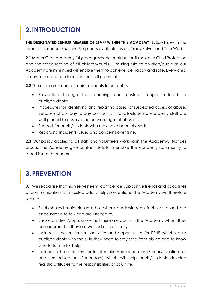# <span id="page-4-0"></span>**2.INTRODUCTION**

**THE DESIGNATED SENIOR MEMBER OF STAFF WITHIN THIS ACADEMY IS:** Sue Frizzel in the event of absence, Suzanne Simpson is available, as are Tracy Selves and Tom Wallis.

**2.1** Manor Croft Academy fully recognises the contribution it makes to Child Protection and the safeguarding of all children/pupils. Ensuring risks to children/pupils at our Academy are minimised will enable them to achieve, be happy and safe. Every child deserves the chance to reach their full potential.

**2.2** There are a number of main elements to our policy:

- Prevention through the teaching and pastoral support offered to pupils/students;
- Procedures for identifying and reporting cases, or suspected cases, of abuse. Because of our day-to-day contact with pupils/students, Academy staff are well placed to observe the outward signs of abuse;
- Support for pupils/students who may have been abused;
- Recording incidents, issues and concerns over time.

**2.3** Our policy applies to all staff and volunteers working in the Academy. Notices around the Academy give contact details to enable the Academy community to report issues of concern.

# <span id="page-4-1"></span>**3.PREVENTION**

**3.1** We recognise that high self-esteem, confidence, supportive friends and good lines of communication with trusted adults helps prevention. The Academy will therefore seek to:

- Establish and maintain an ethos where pupils/students feel secure and are encouraged to talk and are listened to;
- Ensure children/pupils know that there are adults in the Academy whom they can approach if they are worried or in difficulty;
- Include in the curriculum, activities and opportunities for PSHE which equip pupils/students with the skills they need to stay safe from abuse and to know who to turn to for help;
- Include, in the curriculum material, relationship education (Primary) relationship and sex education (Secondary) which will help pupils/students develop realistic attitudes to the responsibilities of adult life.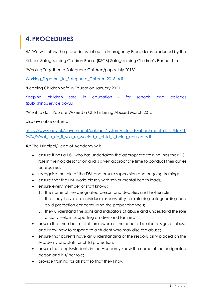# <span id="page-5-0"></span>**4.PROCEDURES**

**4.1** We will follow the procedures set out in Interagency Procedures produced by the

Kirklees Safeguarding Children Board (KSCB) Safeguarding Children's Partnership

'Working Together to Safeguard Children/pupils July 2018'

Working Together to Safeguard Children-2018.pdf

'Keeping Children Safe in Education January 2021'

[Keeping children safe in education -](https://assets.publishing.service.gov.uk/government/uploads/system/uploads/attachment_data/file/954314/Keeping_children_safe_in_education_2020_-_Update_-_January_2021.pdf) for schools and colleges [\(publishing.service.gov.uk\)](https://assets.publishing.service.gov.uk/government/uploads/system/uploads/attachment_data/file/954314/Keeping_children_safe_in_education_2020_-_Update_-_January_2021.pdf)

'What to do if You are Worried a Child is being Abused March 2015'

also available online at

[https://www.gov.uk/government/uploads/system/uploads/attachment\\_data/file/41](https://www.gov.uk/government/uploads/system/uploads/attachment_data/file/419604/What_to_do_if_you_re_worried_a_child_is_being_abused.pdf) 9604/What to do if you re worried a child is being abused.pdf

**4.2** The Principal/Head of Academy will:

- ensure it has a DSL who has undertaken the appropriate training, has their DSL role in their job description and is given appropriate time to conduct their duties as required;
- recognise the role of the DSL and ensure supervision and ongoing training;
- ensure that the DSL works closely with senior mental health leads;
- ensure every member of staff knows:
	- 1. the name of the designated person and deputies and his/her role;
	- 2. that they have an individual responsibility for referring safeguarding and child protection concerns using the proper channels;
	- 3. they understand the signs and indicators of abuse and understand the role of Early Help in supporting children and families.
- ensure that members of staff are aware of the need to be alert to signs of abuse and know how to respond to a student who may disclose abuse;
- ensure that parents have an understanding of the responsibility placed on the Academy and staff for child protection;
- ensure that pupils/students in the Academy know the name of the designated person and his/ her role;
- provide training for all staff so that they know: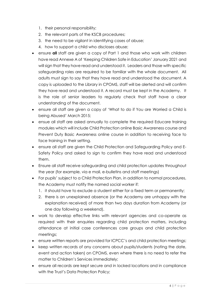- 1. their personal responsibility;
- 2. the relevant parts of the KSCB procedures;
- 3. the need to be vigilant in identifying cases of abuse;
- 4. how to support a child who discloses abuse;
- ensure **all** staff are given a copy of Part 1 and those who work with children have read Annexe A of 'Keeping Children Safe in Education' January 2021 and will sign that they have read and understood it. Leaders and those with specific safeguarding roles are required to be familiar with the whole document. All adults must sign to say that they have read and understood the document. A copy is uploaded to the Library in CPOMS, staff will be alerted and will confirm they have read and understood it. A record must be kept in the Academy. It is the role of senior leaders to regularly check that staff have a clear understanding of the document.
- ensure all staff are given a copy of 'What to do if You are Worried a Child is being Abused' March 2015;
- ensue all staff are asked annually to complete the required Educare training modules which will include Child Protection online Basic Awareness course and Prevent Duty Basic Awareness online course in addition to receiving face to face training in their setting.
- ensure all staff are given the Child Protection and Safeguarding Policy and E-Safety Policy and asked to sign to confirm they have read and understood them.
- Ensure all staff receive safeguarding and child protection updates throughout the year (for example, via e mail, e-bulletins and staff meetings)
- For pupils' subject to a Child Protection Plan, in addition to normal procedures, the Academy must notify the named social worker if:
	- 1. it should have to exclude a student either for a fixed term or permanently;
	- 2. there is an unexplained absence (or the Academy are unhappy with the explanation received) of more than two days duration from Academy (or one day following a weekend).
- work to develop effective links with relevant agencies and co-operate as required with their enquiries regarding child protection matters, including attendance at initial case conferences core groups and child protection meetings;
- ensure written reports are provided for ICPCC's and child protection meetings;
- keep written records of any concerns about pupils/students (noting the date, event and action taken) on CPOMS, even where there is no need to refer the matter to Children's Services immediately;
- ensure all records are kept secure and in locked locations and in compliance with the Trust's Data Protection Policy;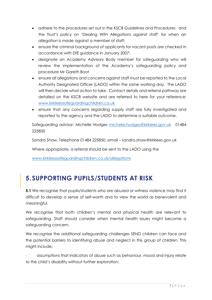- adhere to the procedures set out in the KSCB Guidelines and Procedures and the Trust's policy on 'Dealing With Allegations against staff' for when an allegation is made against a member of staff;
- ensure the criminal background of applicants for vacant posts are checked in accordance with DfE guidance in January 2007;
- designate an Academy Advisory Body member for safeguarding who will review the implementation of the Academy's safeguarding policy and procedure Mr Gareth Boot
- ensure all allegations and concerns against staff must be reported to the Local Authority Designated Officer (LADO) within the same working day. The LADO will then decide what action to take. Contact details and referral pathway are detailed on the KSCB website and are referred to here for your reference: [www.kirkleessafeguardingchildren.co.uk](http://www.kirkleessafeguardingchildren.co.uk/)
- ensure that any concerns regarding supply staff are fully investigated and reported to the agency and the LADO to determine a suitable outcome.

Safeguarding advisor: Michelle Hodges [michelle.hodges@kirklees.gov.uk](mailto:michelle.hodges@kirklees.gov.uk) 01484 225850

Sandra Shaw, Telephone 01484 225850, email – sandra.shaw@kirklees.gov.uk

Where appropriate, a referral should be sent to the LADO using the

[www.kirkleessafeguardingchildren.co.uk/allegations](http://www.kirkleessafeguardingchildren.co.uk/allegations)

# <span id="page-7-0"></span>**5. SUPPORTING PUPILS/STUDENTS AT RISK**

**5.1** We recognise that pupils/students who are abused or witness violence may find it difficult to develop a sense of self-worth and to view the world as benevolent and meaningful.

We recognise that both children's mental and physical health are relevant to safeguarding. Staff should consider when mental health issues might become a safeguarding concern.

We recognise the additional safeguarding challenges SEND children can face and the potential barriers to identifying abuse and neglect in this group of children. This might include:

assumptions that indicators of abuse such as behaviour, mood and injury relate to the child's disability without further exploration;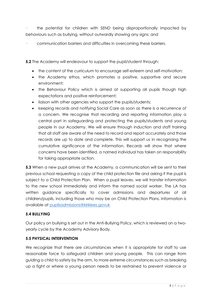the potential for children with SEND being disproportionally impacted by behaviours such as bullying, without outwardly showing any signs; and

· communication barriers and difficulties in overcoming these barriers.

**5.2** The Academy will endeavour to support the pupil/student through:

- the content of the curriculum to encourage self-esteem and self-motivation;
- the Academy ethos, which promotes a positive, supportive and secure environment;
- the Behaviour Policy which is aimed at supporting all pupils though high expectations and positive reinforcement;
- liaison with other agencies who support the pupils/students;
- keeping records and notifying Social Care as soon as there is a recurrence of a concern. We recognise that recording and reporting information play a central part in safeguarding and protecting the pupils/students and young people in our Academy. We will ensure through induction and staff training that all staff are aware of the need to record and report accurately and those records are up to date and complete. This will support us in recognising the cumulative significance of the information. Records will show that where concerns have been identified, a named individual has taken on responsibility for taking appropriate action.

**5.3** When a new pupil arrives at the Academy, a communication will be sent to their previous school requesting a copy of the child protection file and asking if the pupil is subject to a Child Protection Plan. When a pupil leaves, we will transfer information to the new school immediately and inform the named social worker. The LA has written guidance specifically to cover admissions and departures of all children/pupils, including those who may be on Child Protection Plans. Information is available at [pupilsadmissions@kirklees.govuk](mailto:pupilsadmissions@kirklees.govuk)

#### **5.4 BULLYING**

Our policy on bullying is set out in the Anti-Bullying Policy, which is reviewed on a twoyearly cycle by the Academy Advisory Body.

#### **5.5 PHYSICAL INTERVENTION**

We recognize that there are circumstances when it is appropriate for staff to use reasonable force to safeguard children and young people. This can range from guiding a child to safety by the arm, to more extreme circumstances such as breaking up a fight or where a young person needs to be restrained to prevent violence or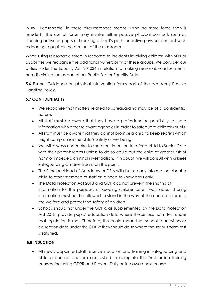injury. 'Reasonable' in these circumstances means 'using no more force than is needed'. The use of force may involve either passive physical contact, such as standing between pupils or blocking a pupil's path, or active physical contact such as leading a pupil by the arm out of the classroom.

When using reasonable force in response to incidents involving children with SEN or disabilities we recognise the additional vulnerability of these groups. We consider our duties under the Equality Act 201036 in relation to making reasonable adjustments, non-discrimination as part of our Public Sector Equality Duty.

**5.6** Further Guidance on physical intervention forms part of the academy Positive Handling Policy.

### **5.7 CONFIDENTIALITY**

- We recognise that matters related to safeguarding may be of a confidential nature.
- All staff must be aware that they have a professional responsibility to share information with other relevant agencies in order to safeguard children/pupils.
- All staff must be aware that they cannot promise a child to keep secrets which might compromise the child's safety or wellbeing.
- We will always undertake to share our intention to refer a child to Social Care with their parents/carers unless to do so could put the child at greater risk of harm or impede a criminal investigation. If in doubt, we will consult with Kirklees Safeguarding Children Board on this point.
- The Principal/Head of Academy or DSLs will disclose any information about a child to other members of staff on a need to know basis only.
- The Data Protection Act 2018 and GDPR do not prevent the sharing of information for the purposes of keeping children safe. Fears about sharing information must not be allowed to stand in the way of the need to promote the welfare and protect the safety of children.
- Schools should not under the GDPR, as supplemented by the Data Protection Act 2018, provide pupils' education data where the serious harm test under that legislation is met. Therefore, this could mean that schools can withhold education data under the GDPR; they should do so where the serious harm test is satisfied.

### **5.8 INDUCTION**

• All newly appointed staff receive induction and training in safeguarding and child protection and are also asked to complete the Trust online training courses, including GDPR and Prevent Duty online awareness course.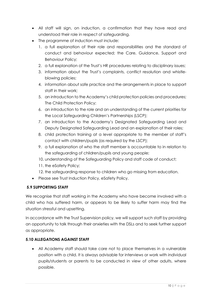- All staff will sign, on induction, a confirmation that they have read and understood their role in respect of safeguarding.
- The programme of induction must include:
	- 1. a full explanation of their role and responsibilities and the standard of conduct and behaviour expected; the Care, Guidance, Support and Behaviour Policy;
	- 2. a full explanation of the Trust's HR procedures relating to disciplinary issues;
	- 3. information about the Trust's complaints, conflict resolution and whistleblowing policies;
	- 4. information about safe practice and the arrangements in place to support staff in their work;
	- 5. an introduction to the Academy's child protection policies and procedures; The Child Protection Policy;
	- 6. an introduction to the role and an understanding of the current priorities for the Local Safeguarding Children's Partnerships (LSCP);
	- 7. an introduction to the Academy's Designated Safeguarding Lead and Deputy Designated Safeguarding Lead and an explanation of their roles;
	- 8. child protection training at a level appropriate to the member of staff's contact with children/pupils (as required by the LSCP);
	- 9. a full explanation of who the staff member is accountable to in relation to the safeguarding of children/pupils and young people;
	- 10. understanding of the Safeguarding Policy and staff code of conduct;
	- 11. the eSafety Policy;
	- 12. the safeguarding response to children who go missing from education.
- Please see Trust Induction Policy, eSafety Policy.

### **5.9 SUPPORTING STAFF**

We recognise that staff working in the Academy who have become involved with a child who has suffered harm, or appears to be likely to suffer harm may find the situation stressful and upsetting.

In accordance with the Trust Supervision policy, we will support such staff by providing an opportunity to talk through their anxieties with the DSLs and to seek further support as appropriate.

### **5.10 ALLEGATIONS AGAINST STAFF**

• All Academy staff should take care not to place themselves in a vulnerable position with a child. It is always advisable for interviews or work with individual pupils/students or parents to be conducted in view of other adults, where possible.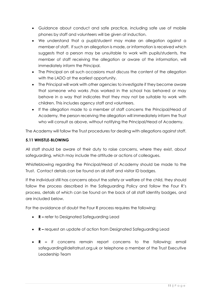- Guidance about conduct and safe practice, including safe use of mobile phones by staff and volunteers will be given at induction.
- We understand that a pupil/student may make an allegation against a member of staff. If such an allegation is made, or information is received which suggests that a person may be unsuitable to work with pupils/students, the member of staff receiving the allegation or aware of the information, will immediately inform the Principal.
- The Principal on all such occasions must discuss the content of the allegation with the LADO at the earliest opportunity.
- The Principal will work with other agencies to investigate if they become aware that someone who works /has worked in the school has behaved or may behave in a way that indicates that they may not be suitable to work with children. This includes agency staff and volunteers.
- If the allegation made to a member of staff concerns the Principal/Head of Academy, the person receiving the allegation will immediately inform the Trust who will consult as above, without notifying the Principal/Head of Academy.

The Academy will follow the Trust procedures for dealing with allegations against staff.

### **5.11 WHISTLE-BLOWING**

All staff should be aware of their duty to raise concerns, where they exist, about safeguarding, which may include the attitude or actions of colleagues.

Whistleblowing regarding the Principal/Head of Academy should be made to the Trust. Contact details can be found on all staff and visitor ID badges.

If the individual still has concerns about the safety or welfare of the child, they should follow the process described in the Safeguarding Policy and follow the Four R's process, details of which can be found on the back of all staff identity badges, and are included below.

For the avoidance of doubt the Four R process requires the following:

- **R –** refer to Designated Safeguarding Lead
- **R –** request an update of action from Designated Safeguarding Lead
- **R –** if concerns remain report concerns to the following: email safeguarding@deltatrust.org.uk or telephone a member of the Trust Executive Leadership Team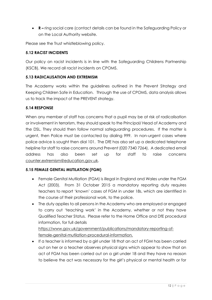• **R –** ring social care (contact details can be found in the Safeguarding Policy or on the Local Authority website.

Please see the Trust whistleblowing policy.

#### **5.12 RACIST INCIDENTS**

Our policy on racist incidents is in line with the Safeguarding Childrens Partnership (KSCB). We record all racist incidents on CPOMS.

#### **5.13 RADICALISATION AND EXTREMISM**

The Academy works within the guidelines outlined in the Prevent Strategy and Keeping Children Safe in Education. Through the use of CPOMS, data analysis allows us to track the impact of the PREVENT strategy.

#### **5.14 RESPONSE**

When any member of staff has concerns that a pupil may be at risk of radicalisation or involvement in terrorism, they should speak to the Principal/ Head of Academy and the DSL. They should then follow normal safeguarding procedures. If the matter is urgent, then Police must be contacted by dialing 999. In non-urgent cases where police advice is sought then dial 101. The DfE has also set up a dedicated telephone helpline for staff to raise concerns around Prevent (020 7340 7264). A dedicated email address has also been set up for staff to raise concerns counter.extremism@education.gov.uk.

#### **5.15 FEMALE GENITAL MUTILATION (FGM)**

- Female Genital Mutilation (FGM) is illegal in England and Wales under the FGM Act (2003). From 31 October 2015 a mandatory reporting duty requires teachers to report 'known' cases of FGM in under 18s, which are identified in the course of their professional work, to the police.
- The duty applies to all persons in the Academy who are employed or engaged to carry out 'teaching work' in the Academy, whether or not they have Qualified Teacher Status. Please refer to the Home Office and DfE procedural information, for full details

https://www.gov.uk/government/publications/mandatory-reporting-offemale-genital-mutilation-procedural-information.

• If a teacher is informed by a girl under 18 that an act of FGM has been carried out on her or a teacher observes physical signs which appear to show that an act of FGM has been carried out on a girl under 18 and they have no reason to believe the act was necessary for the girl's physical or mental health or for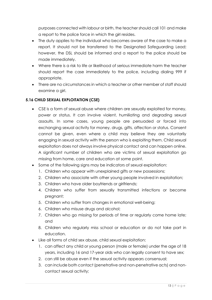purposes connected with labour or birth, the teacher should call 101 and make a report to the police force in which the girl resides.

- The duty applies to the individual who becomes aware of the case to make a report. It should not be transferred to the Designated Safeguarding Lead; however, the DSL should be informed and a report to the police should be made immediately.
- Where there is a risk to life or likelihood of serious immediate harm the teacher should report the case immediately to the police, including dialing 999 if appropriate.
- There are no circumstances in which a teacher or other member of staff should examine a girl.

### **5.16 CHILD SEXUAL EXPLOITATION (CSE)**

- CSE is a form of sexual abuse where children are sexually exploited for money, power or status. It can involve violent, humiliating and degrading sexual assaults. In some cases, young people are persuaded or forced into exchanging sexual activity for money, drugs, gifts, affection or status. Consent cannot be given, even where a child may believe they are voluntarily engaging in sexual activity with the person who is exploiting them. Child sexual exploitation does not always involve physical contact and can happen online. A significant number of children who are victims of sexual exploitation go missing from home, care and education at some point.
- Some of the following signs may be indicators of sexual exploitation:
	- 1. Children who appear with unexplained gifts or new possessions;
	- 2. Children who associate with other young people involved in exploitation;
	- 3. Children who have older boyfriends or girlfriends;
	- 4. Children who suffer from sexually transmitted infections or become pregnant;
	- 5. Children who suffer from changes in emotional well-being;
	- 6. Children who misuse drugs and alcohol;
	- 7. Children who go missing for periods of time or regularly come home late; and
	- 8. Children who regularly miss school or education or do not take part in education.
- Like all forms of child sex abuse, child sexual exploitation:
	- 1. can affect any child or young person (male or female) under the age of 18 years, including 16 and 17-year olds who can legally consent to have sex;
	- 2. can still be abuse even if the sexual activity appears consensual;
	- 3. can include both contact (penetrative and non-penetrative acts) and noncontact sexual activity;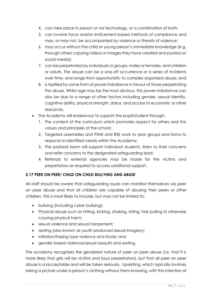- 4. can take place in person or via technology, or a combination of both;
- 5. can involve force and/or enticement-based methods of compliance and may, or may not, be accompanied by violence or threats of violence;
- 6. may occur without the child or young person's immediate knowledge (e.g. through others copying videos or images they have created and posted on social media);
- 7. can be perpetrated by individuals or groups, males or females, and children or adults. The abuse can be a one-off occurrence or a series of incidents over time, and range from opportunistic to complex organised abuse; and
- 8. is typified by some form of power imbalance in favour of those perpetrating the abuse. Whilst age may be the most obvious, this power imbalance can also be due to a range of other factors including gender, sexual identity, cognitive ability, physical strength, status, and access to economic or other resources.
- The Academy will endeavour to support the pupil/student through:
	- 1. The content of the curriculum which promotes respect for others and the values and principles of the school;
	- 2. Targeted assemblies and PSHE and RSE work to year groups and forms to respond to identified needs within the Academy;
	- 3. The pastoral team will support individual students, listen to their concerns and refer concerns to the designated safeguarding lead;
	- 4. Referrals to external agencies may be made for the victims and perpetrators as required to access additional support.

### **5.17 PEER ON PEER/ CHILD ON CHILD BULLYING AND ABUSE**

All staff should be aware that safeguarding issues can manifest themselves via peer on peer abuse and that all children are capable of abusing their peers or other children. This is most likely to include, but may not be limited to:

- bullying (including cyber bullying);
- Physical abuse such as hitting, kicking, shaking, biting, hair pulling or otherwise causing physical harm;
- sexual violence and sexual harassment;
- sexting (also known as youth produced sexual imagery);
- initiation/hazing type violence and rituals; and
- gender based violence/sexual assaults and sexting.

The academy recognizes the gendered nature of peer on peer abuse (i.e. that it is more likely that girls will be victims and boys perpetrators), but that all peer on peer abuse is unacceptable and will be taken seriously. Upskirting, which typically involves taking a picture under a person's clothing without them knowing, with the intention of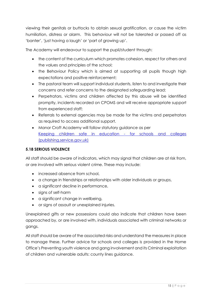viewing their genitals or buttocks to obtain sexual gratification, or cause the victim humiliation, distress or alarm. This behaviour will not be tolerated or passed off as 'banter', 'just having a laugh' or 'part of growing up'.

The Academy will endeavour to support the pupil/student through:

- the content of the curriculum which promotes cohesion, respect for others and the values and principles of the school;
- the Behaviour Policy which is aimed at supporting all pupils though high expectations and positive reinforcement;
- The pastoral team will support individual students, listen to and investigate their concerns and refer concerns to the designated safeguarding lead;
- Perpetrators, victims and children affected by this abuse will be identified promptly, incidents recorded on CPOMS and will receive appropriate support from experienced staff;
- Referrals to external agencies may be made for the victims and perpetrators as required to access additional support.
- Manor Croft Academy will follow statutory guidance as per [Keeping children safe in education -](https://assets.publishing.service.gov.uk/government/uploads/system/uploads/attachment_data/file/954314/Keeping_children_safe_in_education_2020_-_Update_-_January_2021.pdf) for schools and colleges [\(publishing.service.gov.uk\)](https://assets.publishing.service.gov.uk/government/uploads/system/uploads/attachment_data/file/954314/Keeping_children_safe_in_education_2020_-_Update_-_January_2021.pdf)

### **5.18 SERIOUS VIOLENCE**

All staff should be aware of indicators, which may signal that children are at risk from, or are involved with serious violent crime. These may include:

- increased absence from school,
- a change in friendships or relationships with older individuals or groups,
- a significant decline in performance,
- signs of self-harm
- a significant change in wellbeing,
- or signs of assault or unexplained injuries.

Unexplained gifts or new possessions could also indicate that children have been approached by, or are involved with, individuals associated with criminal networks or gangs.

All staff should be aware of the associated risks and understand the measures in place to manage these. Further advice for schools and colleges is provided in the Home Office's Preventing youth violence and gang involvement and its Criminal exploitation of children and vulnerable adults: county lines guidance.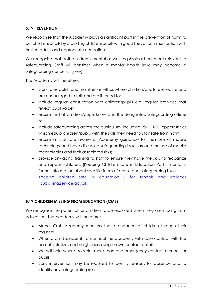### **5.19 PREVENTION**

We recognise that the Academy plays a significant part in the prevention of harm to our children/pupils by providing children/pupils with good lines of communication with trusted adults and appropriate education.

We recognise that both children's mental as well as physical health are relevant to safeguarding. Staff will consider when a mental health issue may become a safeguarding concern. (new)

The Academy will therefore:

- work to establish and maintain an ethos where children/pupils feel secure and are encouraged to talk and are listened to;
- include regular consultation with children/pupils e.g. regular activities that reflect pupil voice;
- ensure that all children/pupils know who the designated safeguarding officer is;
- include safeguarding across the curriculum, including PSHE, RSE, opportunities which equip children/pupils with the skills they need to stay safe from harm;
- ensure all staff are aware of Academy guidance for their use of mobile technology and have discussed safeguarding issues around the use of mobile technologies and their associated risks;
- provide on- going training to staff to ensure they have the skills to recognize and support children. (Keeping Children Safe in Education Part 1 contains further information about specific forms of abuse and safeguarding issues) [Keeping children safe in education -](https://assets.publishing.service.gov.uk/government/uploads/system/uploads/attachment_data/file/954314/Keeping_children_safe_in_education_2020_-_Update_-_January_2021.pdf) for schools and colleges [\(publishing.service.gov.uk\)](https://assets.publishing.service.gov.uk/government/uploads/system/uploads/attachment_data/file/954314/Keeping_children_safe_in_education_2020_-_Update_-_January_2021.pdf)

### **5.19 CHILDREN MISSING FROM EDUCATION (CME)**

We recognise the potential for children to be exploited when they are missing from education. The Academy will therefore;

- Manor Croft Academy monitors the attendance of children through their registers.
- When a child is absent from school the academy will make contact with the parent, relatives and neighbours using known contact details.
- We will hold where possible, more than one emergency contact number for pupils.
- Early intervention may be required to identify reasons for absence and to identify any safeguarding risks.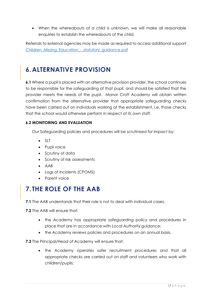• When the whereabouts of a child is unknown, we will make all reasonable enquiries to establish the whereabouts of the child.

Referrals to external agencies may be made as required to access additional support [Children\\_Missing\\_Education\\_-\\_statutory\\_guidance.pdf](file:///C:/Users/dmcguire/AppData/Local/Microsoft/Windows/INetCache/Content.Outlook/UDQG9YM0/Children_Missing_Education_-_statutory_guidance.pdf)

# <span id="page-17-0"></span>**6.ALTERNATIVE PROVISION**

**6.1** Where a pupil is placed with an alternative provision provider, the school continues to be responsible for the safeguarding of that pupil, and should be satisfied that the provider meets the needs of the pupil. Manor Croft Academy will obtain written confirmation from the alternative provider that appropriate safeguarding checks have been carried out on individuals working at the establishment, i.e. those checks that the school would otherwise perform in respect of its own staff.

### **6.2 MONITORING AND EVALUATION**

Our Safeguarding policies and procedures will be scrutinised for impact by:

- SLT
- Pupil voice
- Scrutiny of data
- Scrutiny of risk assessments
- AAB
- Loas of incidents (CPOMS)
- Parent voice

# <span id="page-17-1"></span>**7. THE ROLE OF THE AAB**

**7.1** The AAB understands that their role is not to deal with individual cases.

**7.2** The AAB will ensure that:

- the Academy has appropriate safeguarding policy and procedures in place that are in accordance with Local Authority guidance;
- the Academy reviews policies and procedures on an annual basis.

#### **7.3** The Principal/Head of Academy will ensure that:

• the Academy operates safer recruitment procedures and that all appropriate checks are carried out on staff and volunteers who work with children/pupils;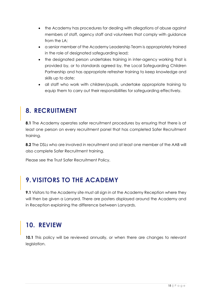- the Academy has procedures for dealing with allegations of abuse against members of staff, agency staff and volunteers that comply with guidance from the LA;
- a senior member of the Academy Leadership Team is appropriately trained in the role of designated safeguarding lead;
- the designated person undertakes training in inter-agency working that is provided by, or to standards agreed by, the Local Safeguarding Children Partnership and has appropriate refresher training to keep knowledge and skills up to date;
- all staff who work with children/pupils, undertake appropriate training to equip them to carry out their responsibilities for safeguarding effectively.

# <span id="page-18-0"></span>**8. RECRUITMENT**

**8.1** The Academy operates safer recruitment procedures by ensuring that there is at least one person on every recruitment panel that has completed Safer Recruitment training.

**8.2** The DSLs who are involved in recruitment and at least one member of the AAB will also complete Safer Recruitment training.

Please see the Trust Safer Recruitment Policy.

# <span id="page-18-1"></span>**9.VISITORS TO THE ACADEMY**

**9.1** Visitors to the Academy site must all sign in at the Academy Reception where they will then be given a Lanyard. There are posters displayed around the Academy and in Reception explaining the difference between Lanyards.

# <span id="page-18-2"></span>**10. REVIEW**

**10.1** This policy will be reviewed annually, or when there are changes to relevant legislation.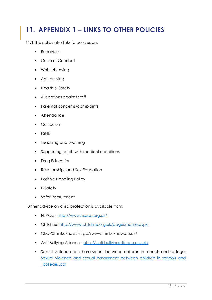# <span id="page-19-0"></span>**11. APPENDIX 1 – LINKS TO OTHER POLICIES**

**11.1** This policy also links to policies on:

- Behaviour
- Code of Conduct
- Whistleblowing
- Anti-bullying
- Health & Safety
- Allegations against staff
- Parental concerns/complaints
- Attendance
- **Curriculum**
- PSHE
- Teaching and Learning
- Supporting pupils with medical conditions
- Drug Education
- Relationships and Sex Education
- Positive Handling Policy
- E-Safety
- Safer Recruitment

Further advice on child protection is available from:

- NSPCC: <http://www.nspcc.org.uk/>
- Childline:<http://www.childline.org.uk/pages/home.aspx>
- CEOPSThinkuknow: https://www.thinkuknow.co.uk/
- Anti-Bullying Alliance: <http://anti-bullyingalliance.org.uk/>
- Sexual violence and harassment between children in schools and colleges Sexual violence and sexual harassment between children in schools and [\\_colleges.pdf](file:///C:/Users/dmcguire/AppData/Local/Microsoft/Windows/INetCache/Content.Outlook/UDQG9YM0/Sexual_violence_and_sexual_harassment_between_children_in_schools_and_colleges.pdf)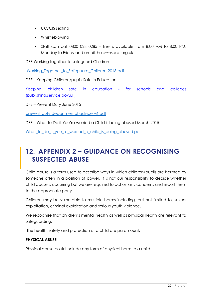- UKCCIS sexting
- Whistleblowing
- Staff can call 0800 028 0285 line is available from 8:00 AM to 8:00 PM, Monday to Friday and email: help@nspcc.org.uk.

DFE Working together to safeguard Children

Working Together to Safeguard Children-2018.pdf

DFE – Keeping Children/pupils Safe in Education

[Keeping children safe in education -](https://assets.publishing.service.gov.uk/government/uploads/system/uploads/attachment_data/file/954314/Keeping_children_safe_in_education_2020_-_Update_-_January_2021.pdf) for schools and colleges [\(publishing.service.gov.uk\)](https://assets.publishing.service.gov.uk/government/uploads/system/uploads/attachment_data/file/954314/Keeping_children_safe_in_education_2020_-_Update_-_January_2021.pdf)

DFE – Prevent Duty June 2015

[prevent-duty-departmental-advice-v6.pdf](file:///C:/Users/dmcguire/AppData/Local/Microsoft/Windows/INetCache/Content.Outlook/UDQG9YM0/prevent-duty-departmental-advice-v6.pdf)

DFE – What to Do if You're worried a Child is being abused March 2015

What to do if you re worried a child is being abused.pdf

# <span id="page-20-0"></span>**12. APPENDIX 2 – GUIDANCE ON RECOGNISING SUSPECTED ABUSE**

Child abuse is a term used to describe ways in which children/pupils are harmed by someone often in a position of power. It is not our responsibility to decide whether child abuse is occurring but we are required to act on any concerns and report them to the appropriate party.

Children may be vulnerable to multiple harms including, but not limited to, sexual exploitation, criminal exploitation and serious youth violence.

We recognise that children's mental health as well as physical health are relevant to safeguarding.

The health, safety and protection of a child are paramount.

#### **PHYSICAL ABUSE**

Physical abuse could include any form of physical harm to a child.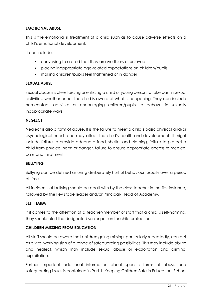#### **EMOTIONAL ABUSE**

This is the emotional ill treatment of a child such as to cause adverse effects on a child's emotional development.

It can include:

- conveying to a child that they are worthless or unloved
- placing inappropriate age-related expectations on children/pupils
- making children/pupils feel frightened or in danger

#### **SEXUAL ABUSE**

Sexual abuse involves forcing or enticing a child or young person to take part in sexual activities, whether or not the child is aware of what is happening. They can include non-contact activities or encouraging children/pupils to behave in sexually inappropriate ways.

#### **NEGLECT**

Neglect is also a form of abuse. It is the failure to meet a child's basic physical and/or psychological needs and may affect the child's health and development. It might include failure to provide adequate food, shelter and clothing, failure to protect a child from physical harm or danger, failure to ensure appropriate access to medical care and treatment.

#### **BULLYING**

Bullying can be defined as using deliberately hurtful behaviour, usually over a period of time.

All incidents of bullying should be dealt with by the class teacher in the first instance, followed by the key stage leader and/or Principal/ Head of Academy.

#### **SELF HARM**

If it comes to the attention of a teacher/member of staff that a child is self-harming, they should alert the designated senior person for child protection.

#### **CHILDREN MISSING FROM EDUCATION**

All staff should be aware that children going missing, particularly repeatedly, can act as a vital warning sign of a range of safeguarding possibilities. This may include abuse and neglect, which may include sexual abuse or exploitation and criminal exploitation.

Further important additional information about specific forms of abuse and safeguarding issues is contained in Part 1: Keeping Children Safe in Education. School